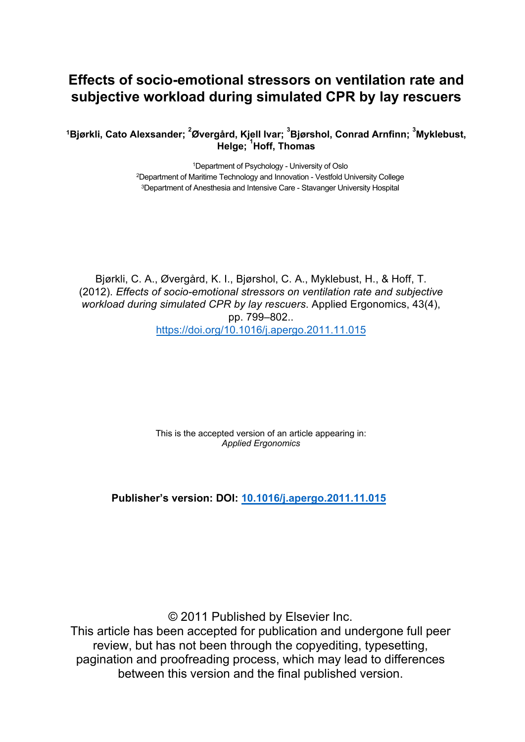# **Effects of socio-emotional stressors on ventilation rate and subjective workload during simulated CPR by lay rescuers**

**<sup>1</sup>Bjørkli, Cato Alexsander; <sup>2</sup> Øvergård, Kjell Ivar; <sup>3</sup> Bjørshol, Conrad Arnfinn; <sup>3</sup>Myklebust, Helge; <sup>1</sup> Hoff, Thomas**

> <sup>1</sup>Department of Psychology - University of Oslo <sup>2</sup>Department of Maritime Technology and Innovation - Vestfold University College <sup>3</sup>Department of Anesthesia and Intensive Care - Stavanger University Hospital

Bjørkli, C. A., Øvergård, K. I., Bjørshol, C. A., Myklebust, H., & Hoff, T. (2012). *Effects of socio-emotional stressors on ventilation rate and subjective workload during simulated CPR by lay rescuers*. Applied Ergonomics, 43(4), pp. 799–802.. <https://doi.org/10.1016/j.apergo.2011.11.015>

> This is the accepted version of an article appearing in: *Applied Ergonomics*

**Publisher's version: DOI: [10.1016/j.apergo.2011.11.015](https://doi.org/10.1016/j.apergo.2011.11.015)**

© 2011 Published by Elsevier Inc.

This article has been accepted for publication and undergone full peer review, but has not been through the copyediting, typesetting, pagination and proofreading process, which may lead to differences between this version and the final published version.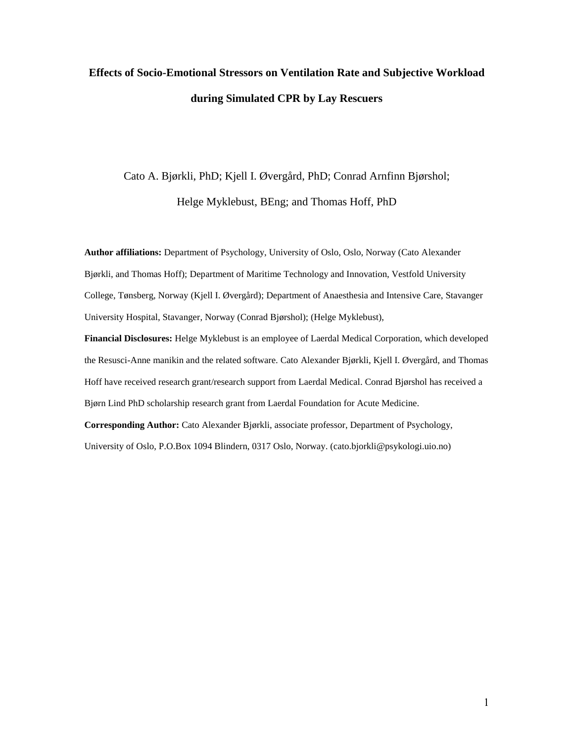# **Effects of Socio-Emotional Stressors on Ventilation Rate and Subjective Workload during Simulated CPR by Lay Rescuers**

# Cato A. Bjørkli, PhD; Kjell I. Øvergård, PhD; Conrad Arnfinn Bjørshol;

Helge Myklebust, BEng; and Thomas Hoff, PhD

**Author affiliations:** Department of Psychology, University of Oslo, Oslo, Norway (Cato Alexander Bjørkli, and Thomas Hoff); Department of Maritime Technology and Innovation, Vestfold University College, Tønsberg, Norway (Kjell I. Øvergård); Department of Anaesthesia and Intensive Care, Stavanger University Hospital, Stavanger, Norway (Conrad Bjørshol); (Helge Myklebust),

**Financial Disclosures:** Helge Myklebust is an employee of Laerdal Medical Corporation, which developed the Resusci-Anne manikin and the related software. Cato Alexander Bjørkli, Kjell I. Øvergård, and Thomas Hoff have received research grant/research support from Laerdal Medical. Conrad Bjørshol has received a Bjørn Lind PhD scholarship research grant from Laerdal Foundation for Acute Medicine.

**Corresponding Author:** Cato Alexander Bjørkli, associate professor, Department of Psychology, University of Oslo, P.O.Box 1094 Blindern, 0317 Oslo, Norway. (cato.bjorkli@psykologi.uio.no)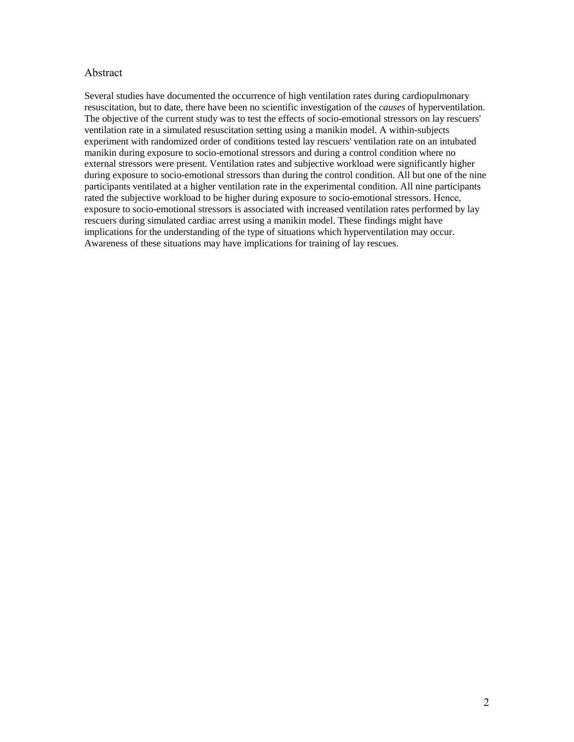#### Abstract

Several studies have documented the occurrence of high ventilation rates during cardiopulmonary resuscitation, but to date, there have been no scientific investigation of the *causes* of hyperventilation. The objective of the current study was to test the effects of socio-emotional stressors on lay rescuers' ventilation rate in a simulated resuscitation setting using a manikin model. A within-subjects experiment with randomized order of conditions tested lay rescuers' ventilation rate on an intubated manikin during exposure to socio-emotional stressors and during a control condition where no external stressors were present. Ventilation rates and subjective workload were significantly higher during exposure to socio-emotional stressors than during the control condition. All but one of the nine participants ventilated at a higher ventilation rate in the experimental condition. All nine participants rated the subjective workload to be higher during exposure to socio-emotional stressors. Hence, exposure to socio-emotional stressors is associated with increased ventilation rates performed by lay rescuers during simulated cardiac arrest using a manikin model. These findings might have implications for the understanding of the type of situations which hyperventilation may occur. Awareness of these situations may have implications for training of lay rescues.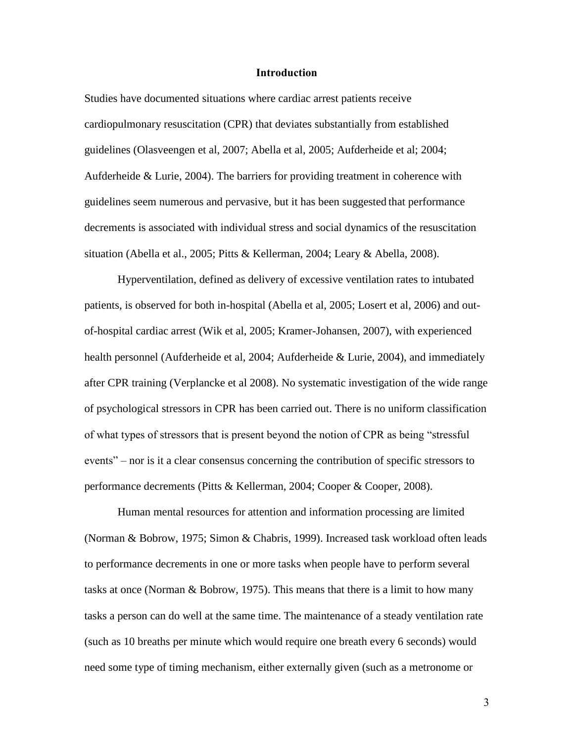## **Introduction**

Studies have documented situations where cardiac arrest patients receive cardiopulmonary resuscitation (CPR) that deviates substantially from established guidelines (Olasveengen et al, 2007; Abella et al, 2005; Aufderheide et al; 2004; Aufderheide & Lurie, 2004). The barriers for providing treatment in coherence with guidelines seem numerous and pervasive, but it has been suggested that performance decrements is associated with individual stress and social dynamics of the resuscitation situation (Abella et al., 2005; Pitts & Kellerman, 2004; Leary & Abella, 2008).

Hyperventilation, defined as delivery of excessive ventilation rates to intubated patients, is observed for both in-hospital (Abella et al, 2005; Losert et al, 2006) and outof-hospital cardiac arrest (Wik et al, 2005; Kramer-Johansen, 2007), with experienced health personnel (Aufderheide et al, 2004; Aufderheide & Lurie, 2004), and immediately after CPR training (Verplancke et al 2008). No systematic investigation of the wide range of psychological stressors in CPR has been carried out. There is no uniform classification of what types of stressors that is present beyond the notion of CPR as being "stressful events" – nor is it a clear consensus concerning the contribution of specific stressors to performance decrements (Pitts & Kellerman, 2004; Cooper & Cooper, 2008).

Human mental resources for attention and information processing are limited (Norman & Bobrow, 1975; Simon & Chabris, 1999). Increased task workload often leads to performance decrements in one or more tasks when people have to perform several tasks at once (Norman & Bobrow, 1975). This means that there is a limit to how many tasks a person can do well at the same time. The maintenance of a steady ventilation rate (such as 10 breaths per minute which would require one breath every 6 seconds) would need some type of timing mechanism, either externally given (such as a metronome or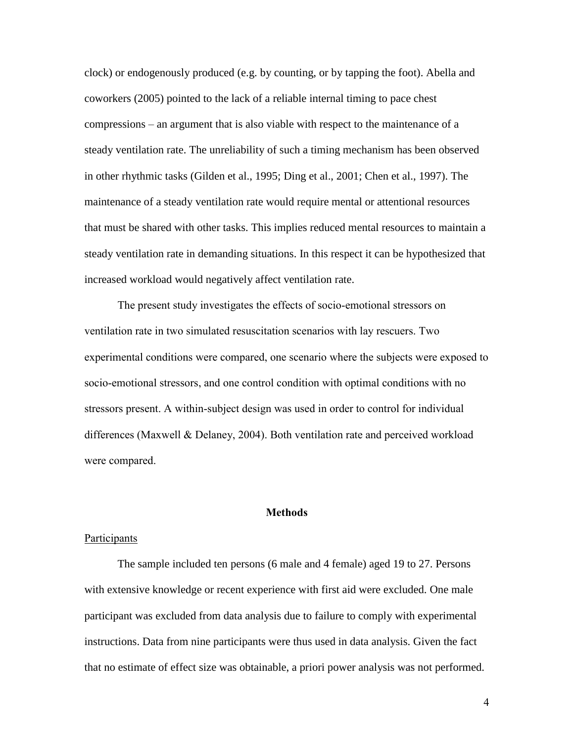clock) or endogenously produced (e.g. by counting, or by tapping the foot). Abella and coworkers (2005) pointed to the lack of a reliable internal timing to pace chest compressions – an argument that is also viable with respect to the maintenance of a steady ventilation rate. The unreliability of such a timing mechanism has been observed in other rhythmic tasks (Gilden et al., 1995; Ding et al., 2001; Chen et al., 1997). The maintenance of a steady ventilation rate would require mental or attentional resources that must be shared with other tasks. This implies reduced mental resources to maintain a steady ventilation rate in demanding situations. In this respect it can be hypothesized that increased workload would negatively affect ventilation rate.

The present study investigates the effects of socio-emotional stressors on ventilation rate in two simulated resuscitation scenarios with lay rescuers. Two experimental conditions were compared, one scenario where the subjects were exposed to socio-emotional stressors, and one control condition with optimal conditions with no stressors present. A within-subject design was used in order to control for individual differences (Maxwell & Delaney, 2004). Both ventilation rate and perceived workload were compared.

#### **Methods**

#### Participants

The sample included ten persons (6 male and 4 female) aged 19 to 27. Persons with extensive knowledge or recent experience with first aid were excluded. One male participant was excluded from data analysis due to failure to comply with experimental instructions. Data from nine participants were thus used in data analysis. Given the fact that no estimate of effect size was obtainable, a priori power analysis was not performed.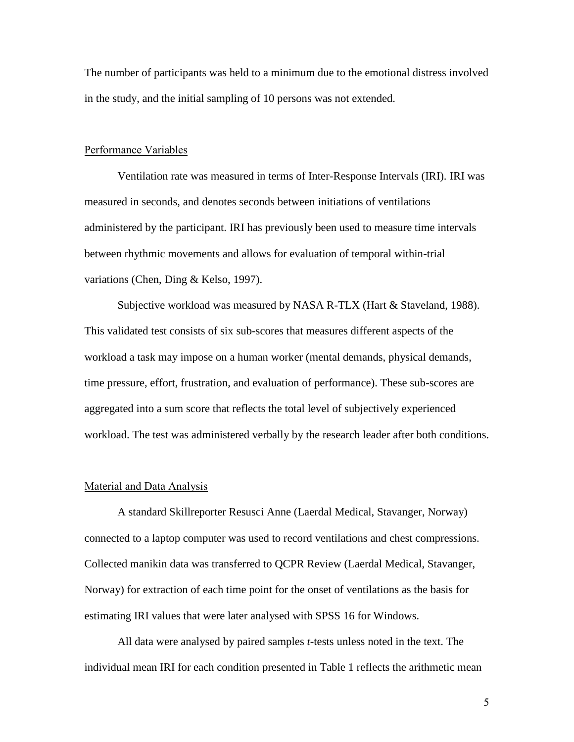The number of participants was held to a minimum due to the emotional distress involved in the study, and the initial sampling of 10 persons was not extended.

#### Performance Variables

Ventilation rate was measured in terms of Inter-Response Intervals (IRI). IRI was measured in seconds, and denotes seconds between initiations of ventilations administered by the participant. IRI has previously been used to measure time intervals between rhythmic movements and allows for evaluation of temporal within-trial variations (Chen, Ding & Kelso, 1997).

Subjective workload was measured by NASA R-TLX (Hart & Staveland, 1988). This validated test consists of six sub-scores that measures different aspects of the workload a task may impose on a human worker (mental demands, physical demands, time pressure, effort, frustration, and evaluation of performance). These sub-scores are aggregated into a sum score that reflects the total level of subjectively experienced workload. The test was administered verbally by the research leader after both conditions.

#### Material and Data Analysis

A standard Skillreporter Resusci Anne (Laerdal Medical, Stavanger, Norway) connected to a laptop computer was used to record ventilations and chest compressions. Collected manikin data was transferred to QCPR Review (Laerdal Medical, Stavanger, Norway) for extraction of each time point for the onset of ventilations as the basis for estimating IRI values that were later analysed with SPSS 16 for Windows.

All data were analysed by paired samples *t*-tests unless noted in the text. The individual mean IRI for each condition presented in Table 1 reflects the arithmetic mean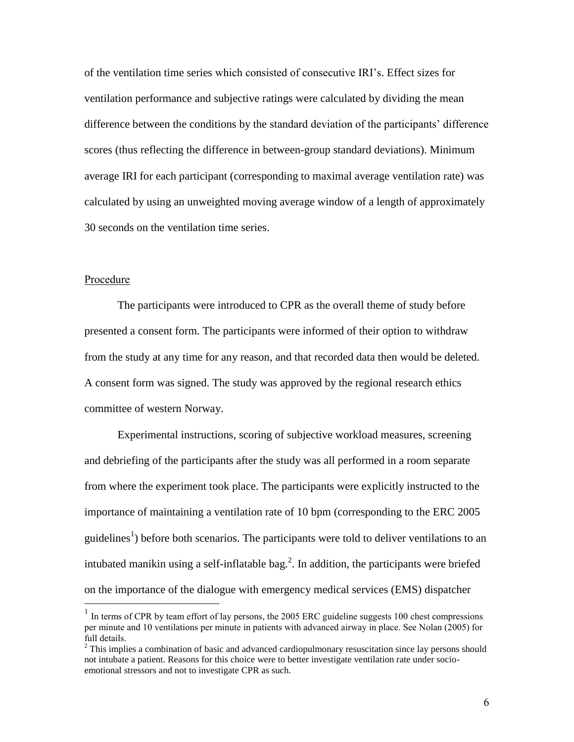of the ventilation time series which consisted of consecutive IRI's. Effect sizes for ventilation performance and subjective ratings were calculated by dividing the mean difference between the conditions by the standard deviation of the participants' difference scores (thus reflecting the difference in between-group standard deviations). Minimum average IRI for each participant (corresponding to maximal average ventilation rate) was calculated by using an unweighted moving average window of a length of approximately 30 seconds on the ventilation time series.

#### Procedure

The participants were introduced to CPR as the overall theme of study before presented a consent form. The participants were informed of their option to withdraw from the study at any time for any reason, and that recorded data then would be deleted. A consent form was signed. The study was approved by the regional research ethics committee of western Norway.

Experimental instructions, scoring of subjective workload measures, screening and debriefing of the participants after the study was all performed in a room separate from where the experiment took place. The participants were explicitly instructed to the importance of maintaining a ventilation rate of 10 bpm (corresponding to the ERC 2005 guidelines<sup>1</sup>) before both scenarios. The participants were told to deliver ventilations to an intubated manikin using a self-inflatable bag.<sup>2</sup>. In addition, the participants were briefed on the importance of the dialogue with emergency medical services (EMS) dispatcher  $\overline{a}$ 

<sup>&</sup>lt;sup>1</sup> In terms of CPR by team effort of lay persons, the 2005 ERC guideline suggests 100 chest compressions per minute and 10 ventilations per minute in patients with advanced airway in place. See Nolan (2005) for full details.

<sup>&</sup>lt;sup>2</sup> This implies a combination of basic and advanced cardiopulmonary resuscitation since lay persons should not intubate a patient. Reasons for this choice were to better investigate ventilation rate under socioemotional stressors and not to investigate CPR as such.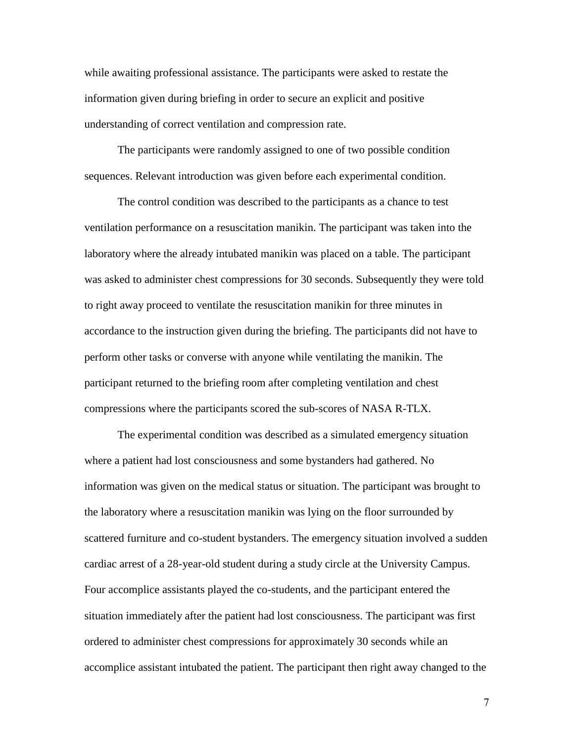while awaiting professional assistance. The participants were asked to restate the information given during briefing in order to secure an explicit and positive understanding of correct ventilation and compression rate.

The participants were randomly assigned to one of two possible condition sequences. Relevant introduction was given before each experimental condition.

The control condition was described to the participants as a chance to test ventilation performance on a resuscitation manikin. The participant was taken into the laboratory where the already intubated manikin was placed on a table. The participant was asked to administer chest compressions for 30 seconds. Subsequently they were told to right away proceed to ventilate the resuscitation manikin for three minutes in accordance to the instruction given during the briefing. The participants did not have to perform other tasks or converse with anyone while ventilating the manikin. The participant returned to the briefing room after completing ventilation and chest compressions where the participants scored the sub-scores of NASA R-TLX.

The experimental condition was described as a simulated emergency situation where a patient had lost consciousness and some bystanders had gathered. No information was given on the medical status or situation. The participant was brought to the laboratory where a resuscitation manikin was lying on the floor surrounded by scattered furniture and co-student bystanders. The emergency situation involved a sudden cardiac arrest of a 28-year-old student during a study circle at the University Campus. Four accomplice assistants played the co-students, and the participant entered the situation immediately after the patient had lost consciousness. The participant was first ordered to administer chest compressions for approximately 30 seconds while an accomplice assistant intubated the patient. The participant then right away changed to the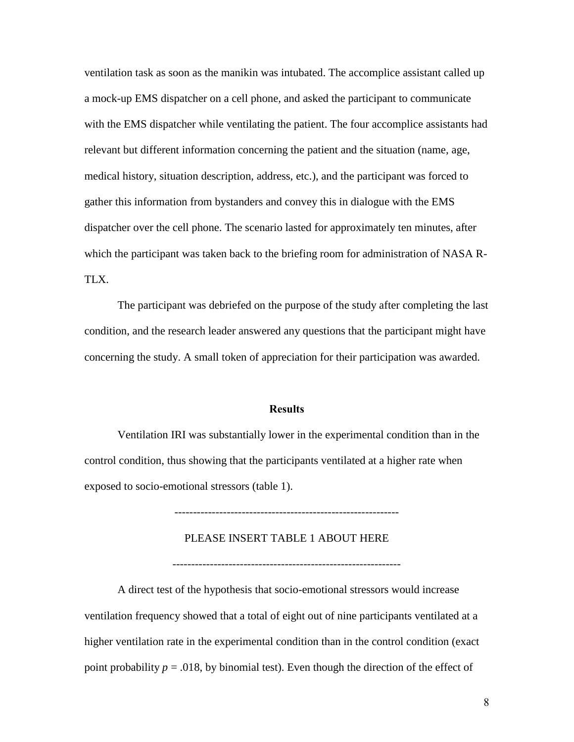ventilation task as soon as the manikin was intubated. The accomplice assistant called up a mock-up EMS dispatcher on a cell phone, and asked the participant to communicate with the EMS dispatcher while ventilating the patient. The four accomplice assistants had relevant but different information concerning the patient and the situation (name, age, medical history, situation description, address, etc.), and the participant was forced to gather this information from bystanders and convey this in dialogue with the EMS dispatcher over the cell phone. The scenario lasted for approximately ten minutes, after which the participant was taken back to the briefing room for administration of NASA R-TLX.

The participant was debriefed on the purpose of the study after completing the last condition, and the research leader answered any questions that the participant might have concerning the study. A small token of appreciation for their participation was awarded.

#### **Results**

Ventilation IRI was substantially lower in the experimental condition than in the control condition, thus showing that the participants ventilated at a higher rate when exposed to socio-emotional stressors (table 1).

------------------------------------------------------------

#### PLEASE INSERT TABLE 1 ABOUT HERE

-------------------------------------------------------------

A direct test of the hypothesis that socio-emotional stressors would increase ventilation frequency showed that a total of eight out of nine participants ventilated at a higher ventilation rate in the experimental condition than in the control condition (exact point probability  $p = .018$ , by binomial test). Even though the direction of the effect of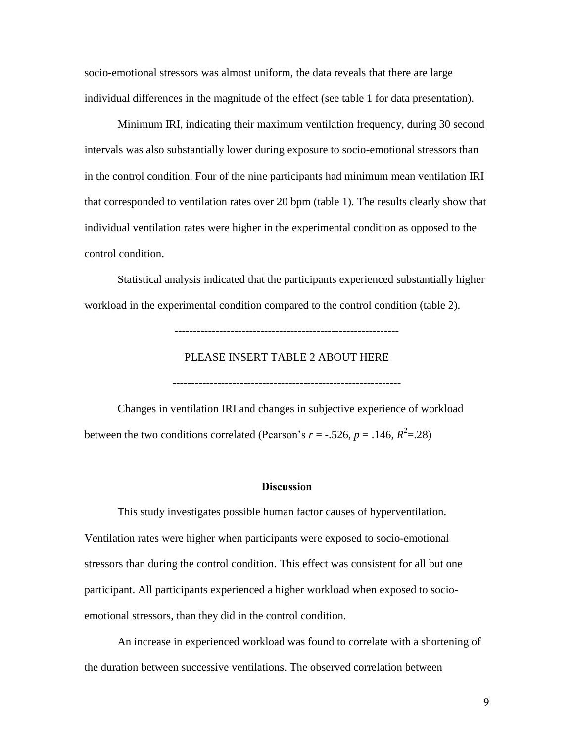socio-emotional stressors was almost uniform, the data reveals that there are large individual differences in the magnitude of the effect (see table 1 for data presentation).

Minimum IRI, indicating their maximum ventilation frequency, during 30 second intervals was also substantially lower during exposure to socio-emotional stressors than in the control condition. Four of the nine participants had minimum mean ventilation IRI that corresponded to ventilation rates over 20 bpm (table 1). The results clearly show that individual ventilation rates were higher in the experimental condition as opposed to the control condition.

Statistical analysis indicated that the participants experienced substantially higher workload in the experimental condition compared to the control condition (table 2).

------------------------------------------------------------

## PLEASE INSERT TABLE 2 ABOUT HERE

-------------------------------------------------------------

Changes in ventilation IRI and changes in subjective experience of workload between the two conditions correlated (Pearson's  $r = -.526$ ,  $p = .146$ ,  $R^2 = .28$ )

#### **Discussion**

This study investigates possible human factor causes of hyperventilation. Ventilation rates were higher when participants were exposed to socio-emotional stressors than during the control condition. This effect was consistent for all but one participant. All participants experienced a higher workload when exposed to socioemotional stressors, than they did in the control condition.

An increase in experienced workload was found to correlate with a shortening of the duration between successive ventilations. The observed correlation between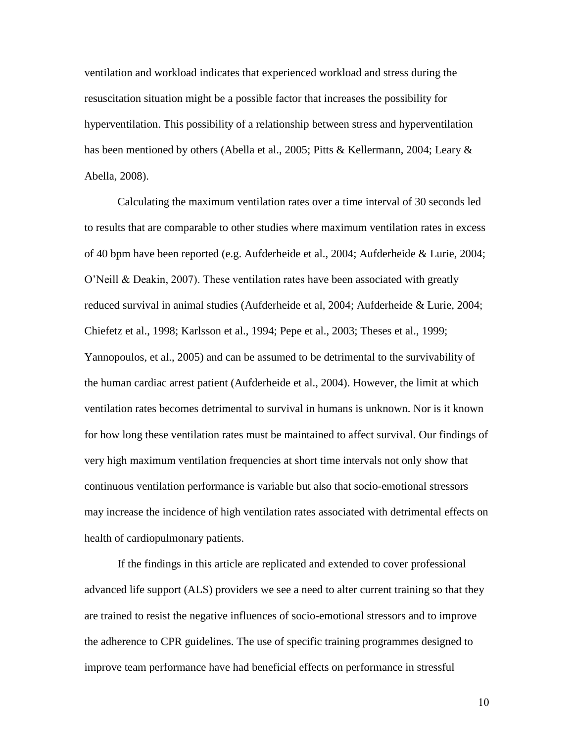ventilation and workload indicates that experienced workload and stress during the resuscitation situation might be a possible factor that increases the possibility for hyperventilation. This possibility of a relationship between stress and hyperventilation has been mentioned by others (Abella et al., 2005; Pitts & Kellermann, 2004; Leary & Abella, 2008).

Calculating the maximum ventilation rates over a time interval of 30 seconds led to results that are comparable to other studies where maximum ventilation rates in excess of 40 bpm have been reported (e.g. Aufderheide et al., 2004; Aufderheide & Lurie, 2004; O'Neill & Deakin, 2007). These ventilation rates have been associated with greatly reduced survival in animal studies (Aufderheide et al, 2004; Aufderheide & Lurie, 2004; Chiefetz et al., 1998; Karlsson et al., 1994; Pepe et al., 2003; Theses et al., 1999; Yannopoulos, et al., 2005) and can be assumed to be detrimental to the survivability of the human cardiac arrest patient (Aufderheide et al., 2004). However, the limit at which ventilation rates becomes detrimental to survival in humans is unknown. Nor is it known for how long these ventilation rates must be maintained to affect survival. Our findings of very high maximum ventilation frequencies at short time intervals not only show that continuous ventilation performance is variable but also that socio-emotional stressors may increase the incidence of high ventilation rates associated with detrimental effects on health of cardiopulmonary patients.

If the findings in this article are replicated and extended to cover professional advanced life support (ALS) providers we see a need to alter current training so that they are trained to resist the negative influences of socio-emotional stressors and to improve the adherence to CPR guidelines. The use of specific training programmes designed to improve team performance have had beneficial effects on performance in stressful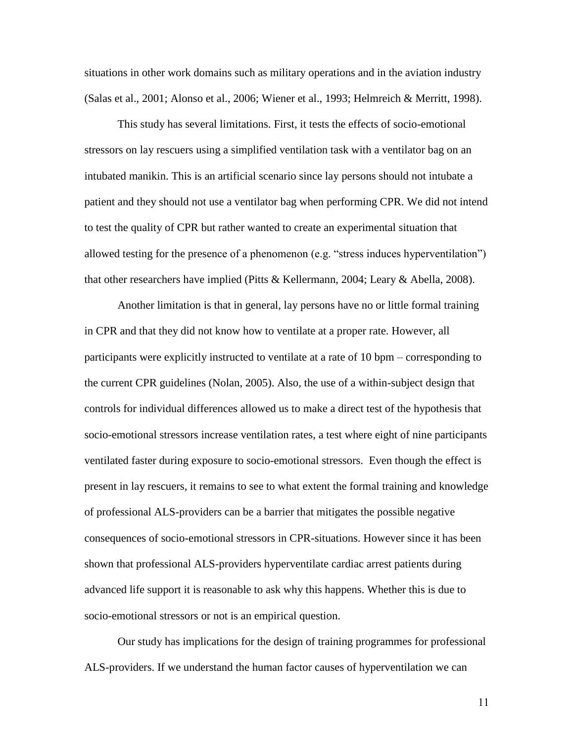situations in other work domains such as military operations and in the aviation industry (Salas et al., 2001; Alonso et al., 2006; Wiener et al., 1993; Helmreich & Merritt, 1998).

This study has several limitations. First, it tests the effects of socio-emotional stressors on lay rescuers using a simplified ventilation task with a ventilator bag on an intubated manikin. This is an artificial scenario since lay persons should not intubate a patient and they should not use a ventilator bag when performing CPR. We did not intend to test the quality of CPR but rather wanted to create an experimental situation that allowed testing for the presence of a phenomenon (e.g. "stress induces hyperventilation") that other researchers have implied (Pitts & Kellermann, 2004; Leary & Abella, 2008).

Another limitation is that in general, lay persons have no or little formal training in CPR and that they did not know how to ventilate at a proper rate. However, all participants were explicitly instructed to ventilate at a rate of 10 bpm – corresponding to the current CPR guidelines (Nolan, 2005). Also, the use of a within-subject design that controls for individual differences allowed us to make a direct test of the hypothesis that socio-emotional stressors increase ventilation rates, a test where eight of nine participants ventilated faster during exposure to socio-emotional stressors. Even though the effect is present in lay rescuers, it remains to see to what extent the formal training and knowledge of professional ALS-providers can be a barrier that mitigates the possible negative consequences of socio-emotional stressors in CPR-situations. However since it has been shown that professional ALS-providers hyperventilate cardiac arrest patients during advanced life support it is reasonable to ask why this happens. Whether this is due to socio-emotional stressors or not is an empirical question.

Our study has implications for the design of training programmes for professional ALS-providers. If we understand the human factor causes of hyperventilation we can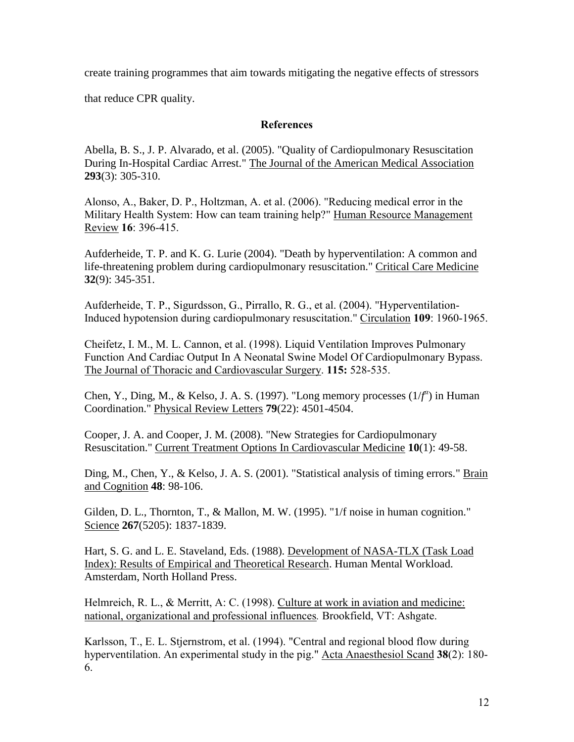create training programmes that aim towards mitigating the negative effects of stressors

that reduce CPR quality.

# **References**

Abella, B. S., J. P. Alvarado, et al. (2005). "Quality of Cardiopulmonary Resuscitation During In-Hospital Cardiac Arrest." The Journal of the American Medical Association **293**(3): 305-310.

Alonso, A., Baker, D. P., Holtzman, A. et al. (2006). "Reducing medical error in the Military Health System: How can team training help?" Human Resource Management Review **16**: 396-415.

Aufderheide, T. P. and K. G. Lurie (2004). "Death by hyperventilation: A common and life-threatening problem during cardiopulmonary resuscitation." Critical Care Medicine **32**(9): 345-351.

Aufderheide, T. P., Sigurdsson, G., Pirrallo, R. G., et al. (2004). "Hyperventilation-Induced hypotension during cardiopulmonary resuscitation." Circulation **109**: 1960-1965.

Cheifetz, I. M., M. L. Cannon, et al. (1998). Liquid Ventilation Improves Pulmonary Function And Cardiac Output In A Neonatal Swine Model Of Cardiopulmonary Bypass. The Journal of Thoracic and Cardiovascular Surgery. **115:** 528-535.

Chen, Y., Ding, M., & Kelso, J. A. S. (1997). "Long memory processes  $(1/f^a)$  in Human Coordination." Physical Review Letters **79**(22): 4501-4504.

Cooper, J. A. and Cooper, J. M. (2008). "New Strategies for Cardiopulmonary Resuscitation." Current Treatment Options In Cardiovascular Medicine **10**(1): 49-58.

Ding, M., Chen, Y., & Kelso, J. A. S. (2001). "Statistical analysis of timing errors." Brain and Cognition **48**: 98-106.

Gilden, D. L., Thornton, T., & Mallon, M. W. (1995). "1/f noise in human cognition." Science **267**(5205): 1837-1839.

Hart, S. G. and L. E. Staveland, Eds. (1988). Development of NASA-TLX (Task Load Index): Results of Empirical and Theoretical Research. Human Mental Workload. Amsterdam, North Holland Press.

Helmreich, R. L., & Merritt, A: C. (1998). Culture at work in aviation and medicine: national, organizational and professional influences*.* Brookfield, VT: Ashgate.

Karlsson, T., E. L. Stjernstrom, et al. (1994). "Central and regional blood flow during hyperventilation. An experimental study in the pig." Acta Anaesthesiol Scand **38**(2): 180- 6.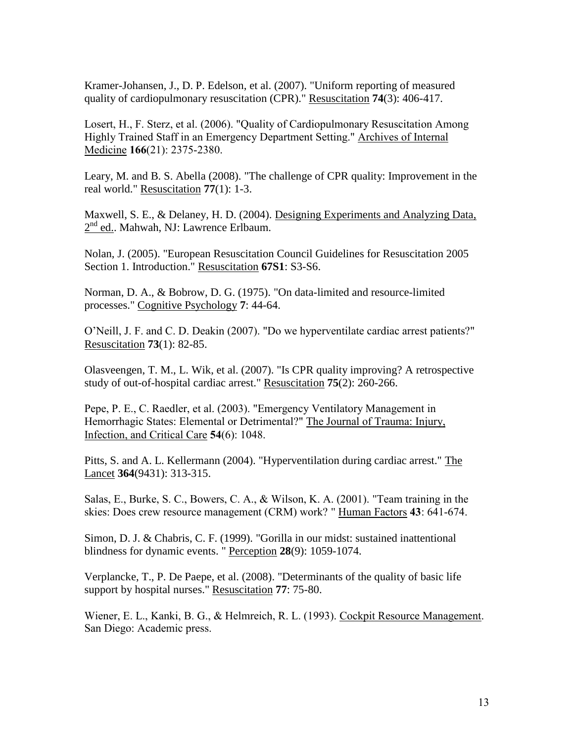Kramer-Johansen, J., D. P. Edelson, et al. (2007). "Uniform reporting of measured quality of cardiopulmonary resuscitation (CPR)." Resuscitation **74**(3): 406-417.

Losert, H., F. Sterz, et al. (2006). "Quality of Cardiopulmonary Resuscitation Among Highly Trained Staff in an Emergency Department Setting." Archives of Internal Medicine **166**(21): 2375-2380.

Leary, M. and B. S. Abella (2008). "The challenge of CPR quality: Improvement in the real world." Resuscitation **77**(1): 1-3.

Maxwell, S. E., & Delaney, H. D. (2004). Designing Experiments and Analyzing Data,  $2<sup>nd</sup>$  ed.. Mahwah, NJ: Lawrence Erlbaum.

Nolan, J. (2005). "European Resuscitation Council Guidelines for Resuscitation 2005 Section 1. Introduction." Resuscitation **67S1**: S3-S6.

Norman, D. A., & Bobrow, D. G. (1975). "On data-limited and resource-limited processes." Cognitive Psychology **7**: 44-64.

O'Neill, J. F. and C. D. Deakin (2007). "Do we hyperventilate cardiac arrest patients?" Resuscitation **73**(1): 82-85.

Olasveengen, T. M., L. Wik, et al. (2007). "Is CPR quality improving? A retrospective study of out-of-hospital cardiac arrest." Resuscitation **75**(2): 260-266.

Pepe, P. E., C. Raedler, et al. (2003). "Emergency Ventilatory Management in Hemorrhagic States: Elemental or Detrimental?" The Journal of Trauma: Injury, Infection, and Critical Care **54**(6): 1048.

Pitts, S. and A. L. Kellermann (2004). "Hyperventilation during cardiac arrest." The Lancet **364**(9431): 313-315.

Salas, E., Burke, S. C., Bowers, C. A., & Wilson, K. A. (2001). "Team training in the skies: Does crew resource management (CRM) work? " Human Factors **43**: 641-674.

Simon, D. J. & Chabris, C. F. (1999). "Gorilla in our midst: sustained inattentional blindness for dynamic events. " Perception **28**(9): 1059-1074.

Verplancke, T., P. De Paepe, et al. (2008). "Determinants of the quality of basic life support by hospital nurses." Resuscitation **77**: 75-80.

Wiener, E. L., Kanki, B. G., & Helmreich, R. L. (1993). Cockpit Resource Management. San Diego: Academic press.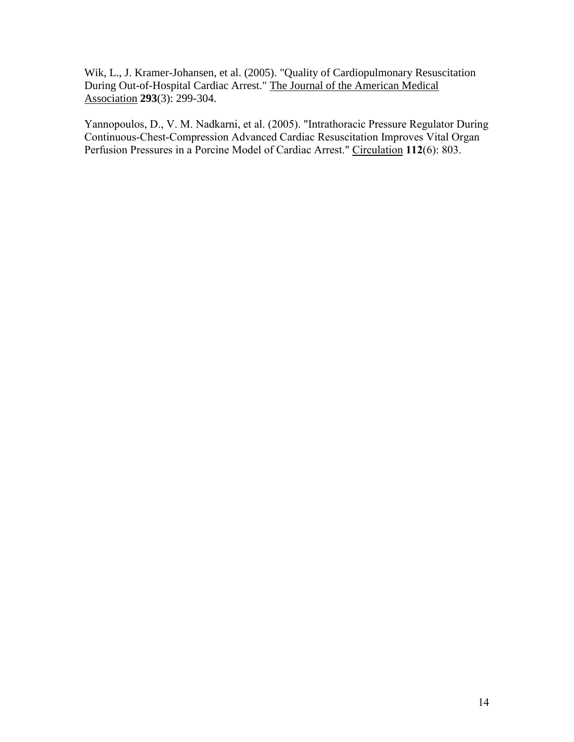Wik, L., J. Kramer-Johansen, et al. (2005). "Quality of Cardiopulmonary Resuscitation During Out-of-Hospital Cardiac Arrest." The Journal of the American Medical Association **293**(3): 299-304.

Yannopoulos, D., V. M. Nadkarni, et al. (2005). "Intrathoracic Pressure Regulator During Continuous-Chest-Compression Advanced Cardiac Resuscitation Improves Vital Organ Perfusion Pressures in a Porcine Model of Cardiac Arrest." Circulation **112**(6): 803.